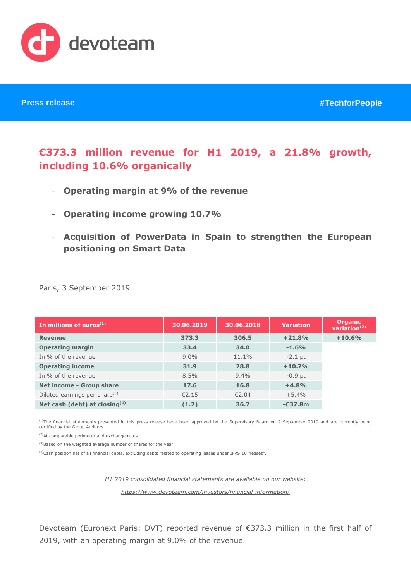

# **€373.3 million revenue for H1 2019, a 21.8% growth, including 10.6% organically**

- **Operating margin at 9% of the revenue**
- **Operating income growing 10.7%**
- **Acquisition of PowerData in Spain to strengthen the European positioning on Smart Data**

|  |  | Paris, 3 September 2019 |  |
|--|--|-------------------------|--|
|--|--|-------------------------|--|

| In millions of euros $(1)$                | 30.06.2019 | 30.06.2018 | <b>Variation</b> | <b>Organic</b><br>variation $(2)$ |
|-------------------------------------------|------------|------------|------------------|-----------------------------------|
| <b>Revenue</b>                            | 373.3      | 306.5      | $+21.8%$         | $+10.6%$                          |
| <b>Operating margin</b>                   | 33.4       | 34.0       | $-1.6%$          |                                   |
| In % of the revenue                       | $9.0\%$    | $11.1\%$   | $-2.1$ pt        |                                   |
| <b>Operating income</b>                   | 31.9       | 28.8       | $+10.7%$         |                                   |
| In % of the revenue                       | 8.5%       | $9.4\%$    | $-0.9$ pt        |                                   |
| Net income - Group share                  | 17.6       | 16.8       | $+4.8%$          |                                   |
| Diluted earnings per share <sup>(3)</sup> | €2.15      | €2.04      | $+5.4%$          |                                   |
| Net cash (debt) at closing <sup>(4)</sup> | (1.2)      | 36.7       | $-637.8m$        |                                   |

<sup>(1)</sup>The financial statements presented in this press release have been approved by the Supervisory Board on 2 September 2019 and are currently being certified by the Group Auditors.

(2)At comparable perimeter and exchange rates.

(3)Based on the weighted average number of shares for the year.

(4)Cash position net of all financial debts, excluding debts related to operating leases under IFRS 16 "leases".

*H1 2019 consolidated financial statements are available on our website: <https://www.devoteam.com/investors/financial-information/>*

Devoteam (Euronext Paris: DVT) reported revenue of €373.3 million in the first half of 2019, with an operating margin at 9.0% of the revenue.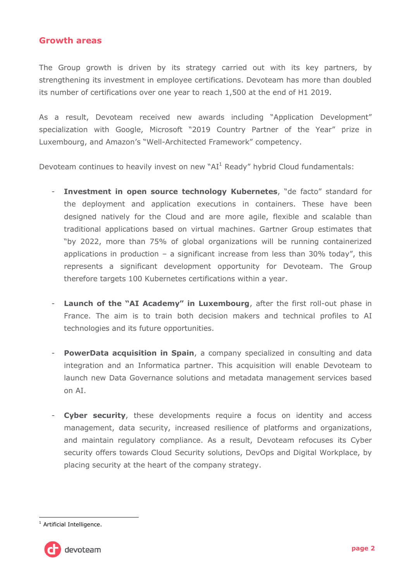### **Growth areas**

The Group growth is driven by its strategy carried out with its key partners, by strengthening its investment in employee certifications. Devoteam has more than doubled its number of certifications over one year to reach 1,500 at the end of H1 2019.

As a result, Devoteam received new awards including "Application Development" specialization with Google, Microsoft "2019 Country Partner of the Year" prize in Luxembourg, and Amazon's "Well-Architected Framework" competency.

Devoteam continues to heavily invest on new " $AI<sup>1</sup>$  Ready" hybrid Cloud fundamentals:

- **Investment in open source technology Kubernetes,** "de facto" standard for the deployment and application executions in containers. These have been designed natively for the Cloud and are more agile, flexible and scalable than traditional applications based on virtual machines. Gartner Group estimates that "by 2022, more than 75% of global organizations will be running containerized applications in production – a significant increase from less than 30% today", this represents a significant development opportunity for Devoteam. The Group therefore targets 100 Kubernetes certifications within a year.
- **Launch of the "AI Academy" in Luxembourg**, after the first roll-out phase in France. The aim is to train both decision makers and technical profiles to AI technologies and its future opportunities.
- **PowerData acquisition in Spain**, a company specialized in consulting and data integration and an Informatica partner. This acquisition will enable Devoteam to launch new Data Governance solutions and metadata management services based on AI.
- **Cyber security**, these developments require a focus on identity and access management, data security, increased resilience of platforms and organizations, and maintain regulatory compliance. As a result, Devoteam refocuses its Cyber security offers towards Cloud Security solutions, DevOps and Digital Workplace, by placing security at the heart of the company strategy.

<sup>-</sup><sup>1</sup> Artificial Intelligence.

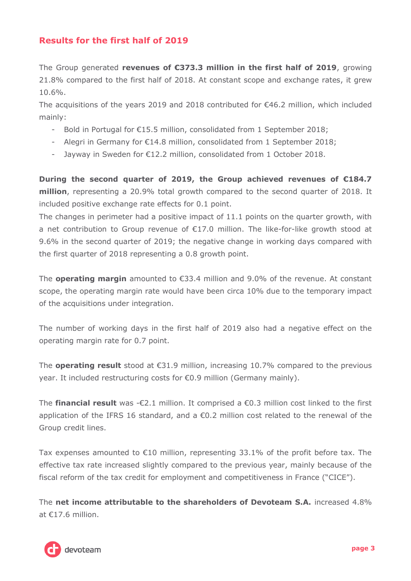## **Results for the first half of 2019**

The Group generated **revenues of €373.3 million in the first half of 2019**, growing 21.8% compared to the first half of 2018. At constant scope and exchange rates, it grew 10.6%.

The acquisitions of the years 2019 and 2018 contributed for €46.2 million, which included mainly:

- Bold in Portugal for €15.5 million, consolidated from 1 September 2018;
- Alegri in Germany for €14.8 million, consolidated from 1 September 2018;
- Jayway in Sweden for €12.2 million, consolidated from 1 October 2018.

**During the second quarter of 2019, the Group achieved revenues of €184.7 million**, representing a 20.9% total growth compared to the second quarter of 2018. It included positive exchange rate effects for 0.1 point.

The changes in perimeter had a positive impact of 11.1 points on the quarter growth, with a net contribution to Group revenue of €17.0 million. The like-for-like growth stood at 9.6% in the second quarter of 2019; the negative change in working days compared with the first quarter of 2018 representing a 0.8 growth point.

The **operating margin** amounted to €33.4 million and 9.0% of the revenue. At constant scope, the operating margin rate would have been circa 10% due to the temporary impact of the acquisitions under integration.

The number of working days in the first half of 2019 also had a negative effect on the operating margin rate for 0.7 point.

The **operating result** stood at €31.9 million, increasing 10.7% compared to the previous year. It included restructuring costs for €0.9 million (Germany mainly).

The **financial result** was -€2.1 million. It comprised a €0.3 million cost linked to the first application of the IFRS 16 standard, and a  $\epsilon$ 0.2 million cost related to the renewal of the Group credit lines.

Tax expenses amounted to  $\epsilon$ 10 million, representing 33.1% of the profit before tax. The effective tax rate increased slightly compared to the previous year, mainly because of the fiscal reform of the tax credit for employment and competitiveness in France ("CICE").

The **net income attributable to the shareholders of Devoteam S.A.** increased 4.8% at €17.6 million.

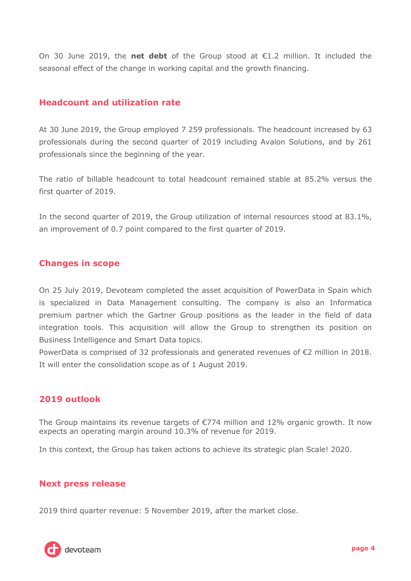On 30 June 2019, the **net debt** of the Group stood at €1.2 million. It included the seasonal effect of the change in working capital and the growth financing.

## **Headcount and utilization rate**

At 30 June 2019, the Group employed 7 259 professionals. The headcount increased by 63 professionals during the second quarter of 2019 including Avalon Solutions, and by 261 professionals since the beginning of the year.

The ratio of billable headcount to total headcount remained stable at 85.2% versus the first quarter of 2019.

In the second quarter of 2019, the Group utilization of internal resources stood at 83.1%, an improvement of 0.7 point compared to the first quarter of 2019.

## **Changes in scope**

On 25 July 2019, Devoteam completed the asset acquisition of PowerData in Spain which is specialized in Data Management consulting. The company is also an Informatica premium partner which the Gartner Group positions as the leader in the field of data integration tools. This acquisition will allow the Group to strengthen its position on Business Intelligence and Smart Data topics.

PowerData is comprised of 32 professionals and generated revenues of €2 million in 2018. It will enter the consolidation scope as of 1 August 2019.

## **2019 outlook**

The Group maintains its revenue targets of  $E$ 774 million and 12% organic growth. It now expects an operating margin around 10.3% of revenue for 2019.

In this context, the Group has taken actions to achieve its strategic plan Scale! 2020.

### **Next press release**

2019 third quarter revenue: 5 November 2019, after the market close.

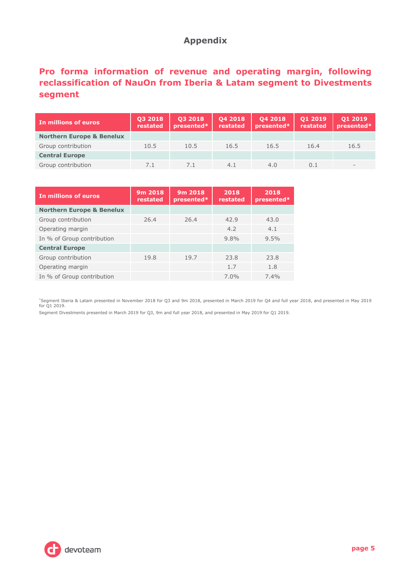## **Appendix**

## **Pro forma information of revenue and operating margin, following reclassification of NauOn from Iberia & Latam segment to Divestments segment**

| In millions of euros                 | 03 2018<br>restated | 03 2018<br>presented* | 04 2018<br>restated | 04 2018<br>presented* | 01 2019<br>restated | 01 2019<br>presented* |
|--------------------------------------|---------------------|-----------------------|---------------------|-----------------------|---------------------|-----------------------|
| <b>Northern Europe &amp; Benelux</b> |                     |                       |                     |                       |                     |                       |
| Group contribution                   | 10.5                | 10.5                  | 16.5                | 16.5                  | 16.4                | 16.5                  |
| <b>Central Europe</b>                |                     |                       |                     |                       |                     |                       |
| Group contribution                   |                     |                       | 4.1                 | 4.0                   | ი 1                 |                       |

| In millions of euros                 | 9m 2018<br>restated | 9m 2018<br>presented* | 2018<br>restated | 2018<br>presented* |
|--------------------------------------|---------------------|-----------------------|------------------|--------------------|
| <b>Northern Europe &amp; Benelux</b> |                     |                       |                  |                    |
| Group contribution                   | 26.4                | 26.4                  | 42.9             | 43.0               |
| Operating margin                     |                     |                       | 4.2              | 4.1                |
| In % of Group contribution           |                     |                       | 9.8%             | 9.5%               |
| <b>Central Europe</b>                |                     |                       |                  |                    |
| Group contribution                   | 19.8                | 19.7                  | 23.8             | 23.8               |
| Operating margin                     |                     |                       | 1.7              | 1.8                |
| In % of Group contribution           |                     |                       | $7.0\%$          | $7.4\%$            |

\*Segment Iberia & Latam presented in November 2018 for Q3 and 9m 2018, presented in March 2019 for Q4 and full year 2018, and presented in May 2019 for Q1 2019.

Segment Divestments presented in March 2019 for Q3, 9m and full year 2018, and presented in May 2019 for Q1 2019.

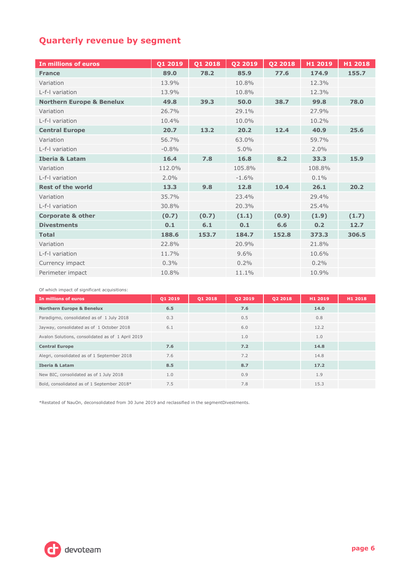## **Quarterly revenue by segment**

| In millions of euros                 | Q1 2019 | Q1 2018 | Q2 2019 | Q2 2018 | H1 2019 | H1 2018 |
|--------------------------------------|---------|---------|---------|---------|---------|---------|
| <b>France</b>                        | 89.0    | 78.2    | 85.9    | 77.6    | 174.9   | 155.7   |
| Variation                            | 13.9%   |         | 10.8%   |         | 12.3%   |         |
| L-f-I variation                      | 13.9%   |         | 10.8%   |         | 12.3%   |         |
| <b>Northern Europe &amp; Benelux</b> | 49.8    | 39.3    | 50.0    | 38.7    | 99.8    | 78.0    |
| Variation                            | 26.7%   |         | 29.1%   |         | 27.9%   |         |
| L-f-I variation                      | 10.4%   |         | 10.0%   |         | 10.2%   |         |
| <b>Central Europe</b>                | 20.7    | 13.2    | 20.2    | 12.4    | 40.9    | 25.6    |
| Variation                            | 56.7%   |         | 63.0%   |         | 59.7%   |         |
| L-f-I variation                      | $-0.8%$ |         | 5.0%    |         | 2.0%    |         |
| <b>Iberia &amp; Latam</b>            | 16.4    | 7.8     | 16.8    | 8.2     | 33.3    | 15.9    |
| Variation                            | 112.0%  |         | 105.8%  |         | 108.8%  |         |
| L-f-I variation                      | 2.0%    |         | $-1.6%$ |         | 0.1%    |         |
| <b>Rest of the world</b>             | 13.3    | 9.8     | 12.8    | 10.4    | 26.1    | 20.2    |
| Variation                            | 35.7%   |         | 23.4%   |         | 29.4%   |         |
| L-f-I variation                      | 30.8%   |         | 20.3%   |         | 25.4%   |         |
| <b>Corporate &amp; other</b>         | (0.7)   | (0.7)   | (1.1)   | (0.9)   | (1.9)   | (1.7)   |
| <b>Divestments</b>                   | 0.1     | 6.1     | 0.1     | 6.6     | 0.2     | 12.7    |
| <b>Total</b>                         | 188.6   | 153.7   | 184.7   | 152.8   | 373.3   | 306.5   |
| Variation                            | 22.8%   |         | 20.9%   |         | 21.8%   |         |
| L-f-I variation                      | 11.7%   |         | 9.6%    |         | 10.6%   |         |
| Currency impact                      | 0.3%    |         | 0.2%    |         | 0.2%    |         |
| Perimeter impact                     | 10.8%   |         | 11.1%   |         | 10.9%   |         |

|  |  |  |  | Of which impact of significant acquisitions: |
|--|--|--|--|----------------------------------------------|
|--|--|--|--|----------------------------------------------|

| In millions of euros                              | 01 2019 | 01 2018 | 02 2019 | <b>Q2 2018</b> | H1 2019 | H1 2018 |
|---------------------------------------------------|---------|---------|---------|----------------|---------|---------|
| <b>Northern Europe &amp; Benelux</b>              | 6.5     |         | 7.6     |                | 14.0    |         |
| Paradigmo, consolidated as of 1 July 2018         | 0.3     |         | 0.5     |                | 0.8     |         |
| Jayway, consolidated as of 1 October 2018         | 6.1     |         | 6.0     |                | 12.2    |         |
| Avalon Solutions, consolidated as of 1 April 2019 |         |         | 1.0     |                | 1.0     |         |
| <b>Central Europe</b>                             | 7.6     |         | 7.2     |                | 14.8    |         |
| Alegri, consolidated as of 1 September 2018       | 7.6     |         | 7.2     |                | 14.8    |         |
| <b>Iberia &amp; Latam</b>                         | 8.5     |         | 8.7     |                | 17.2    |         |
| New BIC, consolidated as of 1 July 2018           | 1.0     |         | 0.9     |                | 1.9     |         |
| Bold, consolidated as of 1 September 2018*        | 7.5     |         | 7.8     |                | 15.3    |         |

\*Restated of NauOn, deconsolidated from 30 June 2019 and reclassified in the segmentDivestments.

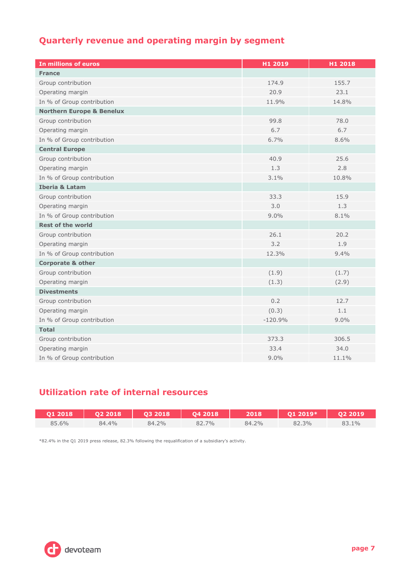## **Quarterly revenue and operating margin by segment**

| In millions of euros                 | H1 2019   | H1 2018 |
|--------------------------------------|-----------|---------|
| <b>France</b>                        |           |         |
| Group contribution                   | 174.9     | 155.7   |
| Operating margin                     | 20.9      | 23.1    |
| In % of Group contribution           | 11.9%     | 14.8%   |
| <b>Northern Europe &amp; Benelux</b> |           |         |
| Group contribution                   | 99.8      | 78.0    |
| Operating margin                     | 6.7       | 6.7     |
| In % of Group contribution           | 6.7%      | 8.6%    |
| <b>Central Europe</b>                |           |         |
| Group contribution                   | 40.9      | 25.6    |
| Operating margin                     | 1.3       | 2.8     |
| In % of Group contribution           | 3.1%      | 10.8%   |
| <b>Iberia &amp; Latam</b>            |           |         |
| Group contribution                   | 33.3      | 15.9    |
| Operating margin                     | 3.0       | 1.3     |
| In % of Group contribution           | 9.0%      | 8.1%    |
| <b>Rest of the world</b>             |           |         |
| Group contribution                   | 26.1      | 20.2    |
| Operating margin                     | 3.2       | 1.9     |
| In % of Group contribution           | 12.3%     | 9.4%    |
| <b>Corporate &amp; other</b>         |           |         |
| Group contribution                   | (1.9)     | (1.7)   |
| Operating margin                     | (1.3)     | (2.9)   |
| <b>Divestments</b>                   |           |         |
| Group contribution                   | 0.2       | 12.7    |
| Operating margin                     | (0.3)     | 1.1     |
| In % of Group contribution           | $-120.9%$ | 9.0%    |
| <b>Total</b>                         |           |         |
| Group contribution                   | 373.3     | 306.5   |
| Operating margin                     | 33.4      | 34.0    |
| In % of Group contribution           | 9.0%      | 11.1%   |

## **Utilization rate of internal resources**

| 01 2018 | 02 2018 | 03 2018 | 04 2018 | 2018  | 01 2019* | 02 2019 |
|---------|---------|---------|---------|-------|----------|---------|
| 85.6%   | 84.4%   | 84.2%   | 82.7%   | 84.2% | 82.3%    | 83.1%   |

\*82.4% in the Q1 2019 press release, 82.3% following the requalification of a subsidiary's activity.

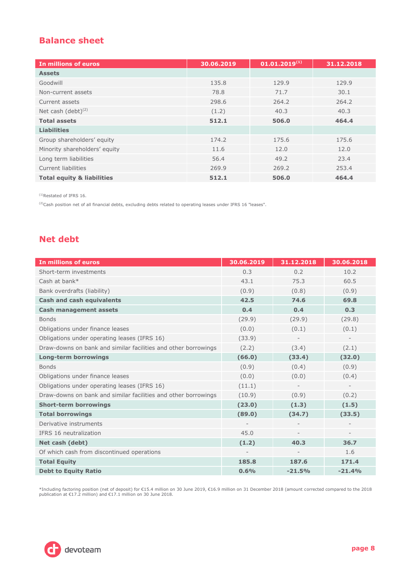## **Balance sheet**

| In millions of euros                  | 30.06.2019 | $01.01.2019^{(1)}$ | 31.12.2018 |
|---------------------------------------|------------|--------------------|------------|
| <b>Assets</b>                         |            |                    |            |
| Goodwill                              | 135.8      | 129.9              | 129.9      |
| Non-current assets                    | 78.8       | 71.7               | 30.1       |
| Current assets                        | 298.6      | 264.2              | 264.2      |
| Net cash (debt) <sup>(2)</sup>        | (1.2)      | 40.3               | 40.3       |
| <b>Total assets</b>                   | 512.1      | 506.0              | 464.4      |
| <b>Liabilities</b>                    |            |                    |            |
| Group shareholders' equity            | 174.2      | 175.6              | 175.6      |
| Minority shareholders' equity         | 11.6       | 12.0               | 12.0       |
| Long term liabilities                 | 56.4       | 49.2               | 23.4       |
| <b>Current liabilities</b>            | 269.9      | 269.2              | 253.4      |
| <b>Total equity &amp; liabilities</b> | 512.1      | 506.0              | 464.4      |

(1)Restated of IFRS 16.

 $^{(2)}$ Cash position net of all financial debts, excluding debts related to operating leases under IFRS 16 "leases".

## **Net debt**

| In millions of euros                                           | 30.06.2019 | 31.12.2018 | 30.06.2018 |
|----------------------------------------------------------------|------------|------------|------------|
| Short-term investments                                         | 0.3        | 0.2        | 10.2       |
| Cash at bank*                                                  | 43.1       | 75.3       | 60.5       |
| Bank overdrafts (liability)                                    | (0.9)      | (0.8)      | (0.9)      |
| <b>Cash and cash equivalents</b>                               | 42.5       | 74.6       | 69.8       |
| <b>Cash management assets</b>                                  | 0.4        | 0.4        | 0.3        |
| <b>Bonds</b>                                                   | (29.9)     | (29.9)     | (29.8)     |
| Obligations under finance leases                               | (0.0)      | (0.1)      | (0.1)      |
| Obligations under operating leases (IFRS 16)                   | (33.9)     |            |            |
| Draw-downs on bank and similar facilities and other borrowings | (2.2)      | (3.4)      | (2.1)      |
| <b>Long-term borrowings</b>                                    | (66.0)     | (33.4)     | (32.0)     |
| <b>Bonds</b>                                                   | (0.9)      | (0.4)      | (0.9)      |
| Obligations under finance leases                               | (0.0)      | (0.0)      | (0.4)      |
| Obligations under operating leases (IFRS 16)                   | (11.1)     |            |            |
| Draw-downs on bank and similar facilities and other borrowings | (10.9)     | (0.9)      | (0.2)      |
| <b>Short-term borrowings</b>                                   | (23.0)     | (1.3)      | (1.5)      |
| <b>Total borrowings</b>                                        | (89.0)     | (34.7)     | (33.5)     |
| Derivative instruments                                         |            |            |            |
| IFRS 16 neutralization                                         | 45.0       |            |            |
| Net cash (debt)                                                | (1.2)      | 40.3       | 36.7       |
| Of which cash from discontinued operations                     |            |            | 1.6        |
| <b>Total Equity</b>                                            | 185.8      | 187.6      | 171.4      |
| <b>Debt to Equity Ratio</b>                                    | 0.6%       | $-21.5%$   | $-21.4%$   |

\*Including factoring position (net of deposit) for €15.4 million on 30 June 2019, €16.9 million on 31 December 2018 (amount corrected compared to the 2018 publication at €17.2 million) and €17.1 million on 30 June 2018.

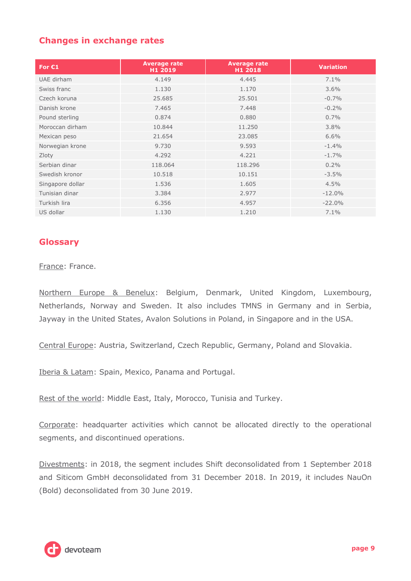## **Changes in exchange rates**

| For $C1$         | <b>Average rate</b><br>H1 2019 | <b>Average rate</b><br>H1 2018 | <b>Variation</b> |
|------------------|--------------------------------|--------------------------------|------------------|
| UAE dirham       | 4.149                          | 4.445                          | 7.1%             |
| Swiss franc      | 1.130                          | 1.170                          | $3.6\%$          |
| Czech koruna     | 25.685                         | 25.501                         | $-0.7%$          |
| Danish krone     | 7.465                          | 7.448                          | $-0.2%$          |
| Pound sterling   | 0.874                          | 0.880                          | 0.7%             |
| Moroccan dirham  | 10.844                         | 11.250                         | 3.8%             |
| Mexican peso     | 21.654                         | 23,085                         | 6.6%             |
| Norwegian krone  | 9.730                          | 9.593                          | $-1.4%$          |
| Zloty            | 4.292                          | 4.221                          | $-1.7%$          |
| Serbian dinar    | 118.064                        | 118.296                        | 0.2%             |
| Swedish kronor   | 10.518                         | 10.151                         | $-3.5%$          |
| Singapore dollar | 1.536                          | 1.605                          | 4.5%             |
| Tunisian dinar   | 3.384                          | 2.977                          | $-12.0%$         |
| Turkish lira     | 6.356                          | 4.957                          | $-22.0%$         |
| US dollar        | 1.130                          | 1.210                          | 7.1%             |

### **Glossary**

France: France.

Northern Europe & Benelux: Belgium, Denmark, United Kingdom, Luxembourg, Netherlands, Norway and Sweden. It also includes TMNS in Germany and in Serbia, Jayway in the United States, Avalon Solutions in Poland, in Singapore and in the USA.

Central Europe: Austria, Switzerland, Czech Republic, Germany, Poland and Slovakia.

Iberia & Latam: Spain, Mexico, Panama and Portugal.

Rest of the world: Middle East, Italy, Morocco, Tunisia and Turkey.

Corporate: headquarter activities which cannot be allocated directly to the operational segments, and discontinued operations.

Divestments: in 2018, the segment includes Shift deconsolidated from 1 September 2018 and Siticom GmbH deconsolidated from 31 December 2018. In 2019, it includes NauOn (Bold) deconsolidated from 30 June 2019.

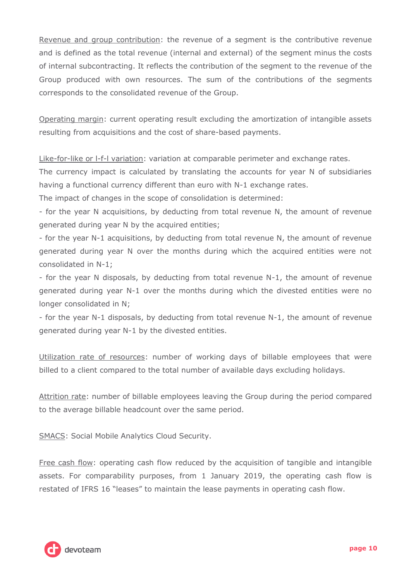Revenue and group contribution: the revenue of a segment is the contributive revenue and is defined as the total revenue (internal and external) of the segment minus the costs of internal subcontracting. It reflects the contribution of the segment to the revenue of the Group produced with own resources. The sum of the contributions of the segments corresponds to the consolidated revenue of the Group.

Operating margin: current operating result excluding the amortization of intangible assets resulting from acquisitions and the cost of share-based payments.

Like-for-like or l-f-l variation: variation at comparable perimeter and exchange rates.

The currency impact is calculated by translating the accounts for year N of subsidiaries having a functional currency different than euro with N-1 exchange rates.

The impact of changes in the scope of consolidation is determined:

- for the year N acquisitions, by deducting from total revenue N, the amount of revenue generated during year N by the acquired entities;

- for the year N-1 acquisitions, by deducting from total revenue N, the amount of revenue generated during year N over the months during which the acquired entities were not consolidated in N-1;

- for the year N disposals, by deducting from total revenue N-1, the amount of revenue generated during year N-1 over the months during which the divested entities were no longer consolidated in N;

- for the year N-1 disposals, by deducting from total revenue N-1, the amount of revenue generated during year N-1 by the divested entities.

Utilization rate of resources: number of working days of billable employees that were billed to a client compared to the total number of available days excluding holidays.

Attrition rate: number of billable employees leaving the Group during the period compared to the average billable headcount over the same period.

SMACS: Social Mobile Analytics Cloud Security.

Free cash flow: operating cash flow reduced by the acquisition of tangible and intangible assets. For comparability purposes, from 1 January 2019, the operating cash flow is restated of IFRS 16 "leases" to maintain the lease payments in operating cash flow.

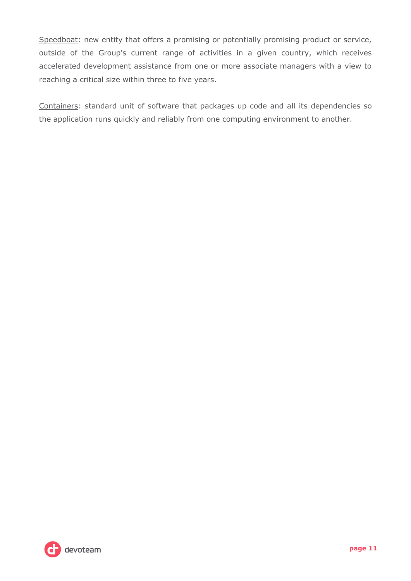Speedboat: new entity that offers a promising or potentially promising product or service, outside of the Group's current range of activities in a given country, which receives accelerated development assistance from one or more associate managers with a view to reaching a critical size within three to five years.

Containers: standard unit of software that packages up code and all its dependencies so the application runs quickly and reliably from one computing environment to another.